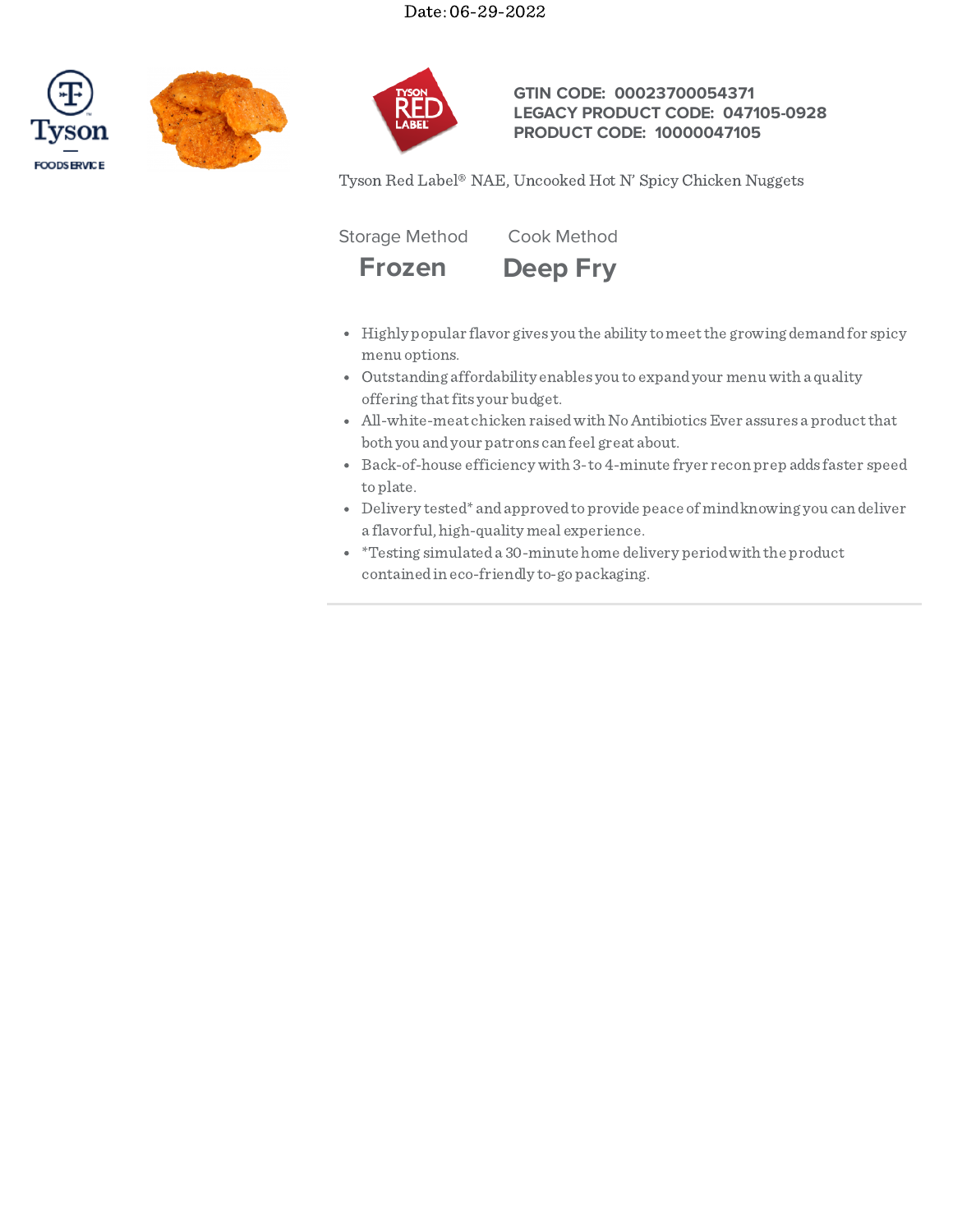





# **GTIN CODE: 00023700054371 LEGACY PRODUCT CODE: 047105-0928 PRODUCT CODE: 10000047105**

Tyson Red Label® NAE, Uncooked Hot N' Spicy Chicken Nuggets

Storage Method Cook Method



- 
- Highly popular flavor gives you the ability tomeetthe growing demandfor spicy menu options.
- Outstanding affordability enables you to expandyour menu with a quality offering that fits your budget.
- All-white-meat chicken raised with No Antibiotics Ever assures a product that both you andyour patrons can feel great about.
- Back-of-house efficiency with 3-to4-minute fryer recon prep adds faster speed toplate.
- Delivery tested\* andapprovedtoprovide peace of mindknowing you can deliver a flavorful, high-quality meal experience.
- \*Testing simulateda 30-minute home delivery periodwith the product containedin eco-friendly to-gopackaging.